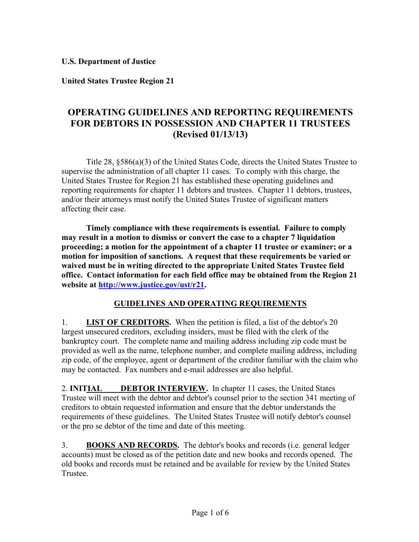**U.S. Department of Justice** 

**United States Trustee Region 21** 

## **OPERATING GUIDELINES AND REPORTING REQUIREMENTS FOR DEBTORS IN POSSESSION AND CHAPTER 11 TRUSTEES (Revised 01/13/13)**

Title 28, §586(a)(3) of the United States Code, directs the United States Trustee to supervise the administration of all chapter 11 cases. To comply with this charge, the United States Trustee for Region 21 has established these operating guidelines and reporting requirements for chapter 11 debtors and trustees. Chapter 11 debtors, trustees, and/or their attorneys must notify the United States Trustee of significant matters affecting their case.

**Timely compliance with these requirements is essential. Failure to comply may result in a motion to dismiss or convert the case to a chapter 7 liquidation proceeding; a motion for the appointment of a chapter 11 trustee or examiner; or a motion for imposition of sanctions. A request that these requirements be varied or waived must be in writing directed to the appropriate United States Trustee field office. Contact information for each field office may be obtained from the Region 21 website at http://www.justice.gov/ust/r21.** 

## **GUIDELINES AND OPERATING REQUIREMENTS**

 1. **LIST OF CREDITORS.** When the petition is filed, a list of the debtor's 20 zip code, of the employee, agent or department of the creditor familiar with the claim who largest unsecured creditors, excluding insiders, must be filed with the clerk of the bankruptcy court. The complete name and mailing address including zip code must be provided as well as the name, telephone number, and complete mailing address, including may be contacted. Fax numbers and e-mail addresses are also helpful.

 2. **INITIAL DEBTOR INTERVIEW.** In chapter 11 cases, the United States Trustee will meet with the debtor and debtor's counsel prior to the section 341 meeting of creditors to obtain requested information and ensure that the debtor understands the requirements of these guidelines. The United States Trustee will notify debtor's counsel or the pro se debtor of the time and date of this meeting.

3. **BOOKS AND RECORDS.** The debtor's books and records (i.e. general ledger accounts) must be closed as of the petition date and new books and records opened. The old books and records must be retained and be available for review by the United States Trustee.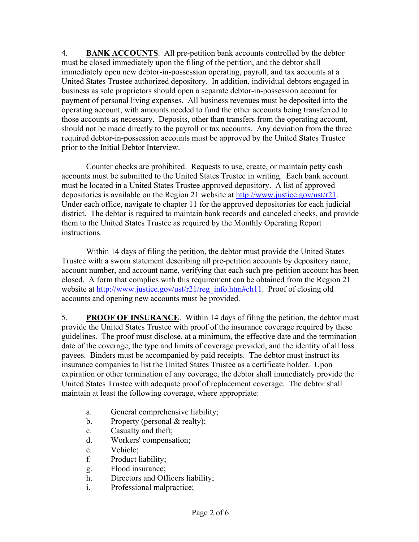should not be made directly to the payroll or tax accounts. Any deviation from the three required debtor-in-possession accounts must be approved by the United States Trustee 4. **BANK ACCOUNTS**. All pre-petition bank accounts controlled by the debtor must be closed immediately upon the filing of the petition, and the debtor shall immediately open new debtor-in-possession operating, payroll, and tax accounts at a United States Trustee authorized depository. In addition, individual debtors engaged in business as sole proprietors should open a separate debtor-in-possession account for payment of personal living expenses. All business revenues must be deposited into the operating account, with amounts needed to fund the other accounts being transferred to those accounts as necessary. Deposits, other than transfers from the operating account, prior to the Initial Debtor Interview.

Counter checks are prohibited. Requests to use, create, or maintain petty cash accounts must be submitted to the United States Trustee in writing. Each bank account must be located in a United States Trustee approved depository. A list of approved depositories is available on the Region 21 website at http://www.justice.gov/ust/r21. Under each office, navigate to chapter 11 for the approved depositories for each judicial district. The debtor is required to maintain bank records and canceled checks, and provide them to the United States Trustee as required by the Monthly Operating Report instructions.

Within 14 days of filing the petition, the debtor must provide the United States Trustee with a sworn statement describing all pre-petition accounts by depository name, account number, and account name, verifying that each such pre-petition account has been closed. A form that complies with this requirement can be obtained from the Region 21 website at http://www.justice.gov/ust/r21/reg\_info.htm#ch11. Proof of closing old accounts and opening new accounts must be provided.

5. **PROOF OF INSURANCE**. Within 14 days of filing the petition, the debtor must provide the United States Trustee with proof of the insurance coverage required by these guidelines. The proof must disclose, at a minimum, the effective date and the termination date of the coverage; the type and limits of coverage provided, and the identity of all loss payees. Binders must be accompanied by paid receipts. The debtor must instruct its insurance companies to list the United States Trustee as a certificate holder. Upon expiration or other termination of any coverage, the debtor shall immediately provide the United States Trustee with adequate proof of replacement coverage. The debtor shall maintain at least the following coverage, where appropriate:

- a. General comprehensive liability;
- b. Property (personal & realty);
- c. Casualty and theft;
- d. Workers' compensation;
- e. Vehicle;
- f. Product liability;
- g. Flood insurance;
- h. Directors and Officers liability;
- i. Professional malpractice;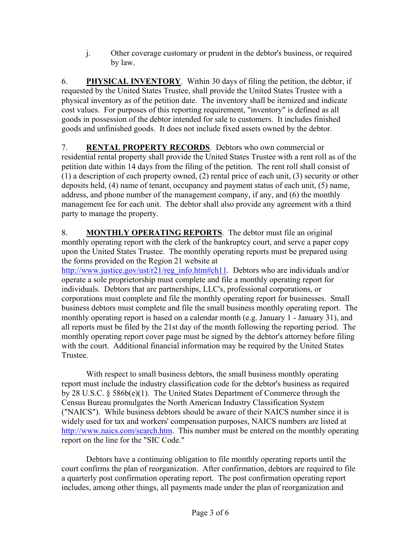j. Other coverage customary or prudent in the debtor's business, or required by law.

6. **PHYSICAL INVENTORY**. Within 30 days of filing the petition, the debtor, if requested by the United States Trustee, shall provide the United States Trustee with a physical inventory as of the petition date. The inventory shall be itemized and indicate cost values. For purposes of this reporting requirement, "inventory" is defined as all goods in possession of the debtor intended for sale to customers. It includes finished goods and unfinished goods. It does not include fixed assets owned by the debtor.

7. **RENTAL PROPERTY RECORDS**. Debtors who own commercial or residential rental property shall provide the United States Trustee with a rent roll as of the petition date within 14 days from the filing of the petition. The rent roll shall consist of (1) a description of each property owned, (2) rental price of each unit, (3) security or other deposits held, (4) name of tenant, occupancy and payment status of each unit, (5) name, address, and phone number of the management company, if any, and (6) the monthly management fee for each unit. The debtor shall also provide any agreement with a third party to manage the property.

8. **MONTHLY OPERATING REPORTS**. The debtor must file an original monthly operating report with the clerk of the bankruptcy court, and serve a paper copy upon the United States Trustee. The monthly operating reports must be prepared using the forms provided on the Region 21 website at

http://www.justice.gov/ust/r21/reg\_info.htm#ch11. Debtors who are individuals and/or operate a sole proprietorship must complete and file a monthly operating report for individuals. Debtors that are partnerships, LLC's, professional corporations, or corporations must complete and file the monthly operating report for businesses. Small business debtors must complete and file the small business monthly operating report. The monthly operating report is based on a calendar month (e.g. January 1 - January 31), and all reports must be filed by the 21st day of the month following the reporting period. The monthly operating report cover page must be signed by the debtor's attorney before filing with the court. Additional financial information may be required by the United States Trustee.

With respect to small business debtors, the small business monthly operating report must include the industry classification code for the debtor's business as required by 28 U.S.C. § 586b(e)(1). The United States Department of Commerce through the Census Bureau promulgates the North American Industry Classification System ("NAICS"). While business debtors should be aware of their NAICS number since it is widely used for tax and workers' compensation purposes, NAICS numbers are listed at http://www.naics.com/search.htm. This number must be entered on the monthly operating report on the line for the "SIC Code."

Debtors have a continuing obligation to file monthly operating reports until the court confirms the plan of reorganization. After confirmation, debtors are required to file a quarterly post confirmation operating report. The post confirmation operating report includes, among other things, all payments made under the plan of reorganization and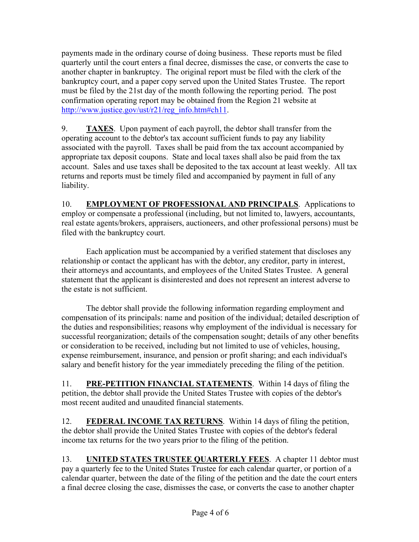payments made in the ordinary course of doing business. These reports must be filed quarterly until the court enters a final decree, dismisses the case, or converts the case to another chapter in bankruptcy. The original report must be filed with the clerk of the bankruptcy court, and a paper copy served upon the United States Trustee. The report must be filed by the 21st day of the month following the reporting period. The post confirmation operating report may be obtained from the Region 21 website at http://www.justice.gov/ust/r21/reg\_info.htm#ch11.

 associated with the payroll. Taxes shall be paid from the tax account accompanied by 9. **TAXES**. Upon payment of each payroll, the debtor shall transfer from the operating account to the debtor's tax account sufficient funds to pay any liability appropriate tax deposit coupons. State and local taxes shall also be paid from the tax account. Sales and use taxes shall be deposited to the tax account at least weekly. All tax returns and reports must be timely filed and accompanied by payment in full of any liability.

10. **EMPLOYMENT OF PROFESSIONAL AND PRINCIPALS**. Applications to employ or compensate a professional (including, but not limited to, lawyers, accountants, real estate agents/brokers, appraisers, auctioneers, and other professional persons) must be filed with the bankruptcy court.

Each application must be accompanied by a verified statement that discloses any relationship or contact the applicant has with the debtor, any creditor, party in interest, their attorneys and accountants, and employees of the United States Trustee. A general statement that the applicant is disinterested and does not represent an interest adverse to the estate is not sufficient.

The debtor shall provide the following information regarding employment and compensation of its principals: name and position of the individual; detailed description of the duties and responsibilities; reasons why employment of the individual is necessary for successful reorganization; details of the compensation sought; details of any other benefits or consideration to be received, including but not limited to use of vehicles, housing, expense reimbursement, insurance, and pension or profit sharing; and each individual's salary and benefit history for the year immediately preceding the filing of the petition.

11. **PRE-PETITION FINANCIAL STATEMENTS**. Within 14 days of filing the petition, the debtor shall provide the United States Trustee with copies of the debtor's most recent audited and unaudited financial statements.

12. **FEDERAL INCOME TAX RETURNS**. Within 14 days of filing the petition, the debtor shall provide the United States Trustee with copies of the debtor's federal income tax returns for the two years prior to the filing of the petition.

13. **UNITED STATES TRUSTEE QUARTERLY FEES**. A chapter 11 debtor must pay a quarterly fee to the United States Trustee for each calendar quarter, or portion of a calendar quarter, between the date of the filing of the petition and the date the court enters a final decree closing the case, dismisses the case, or converts the case to another chapter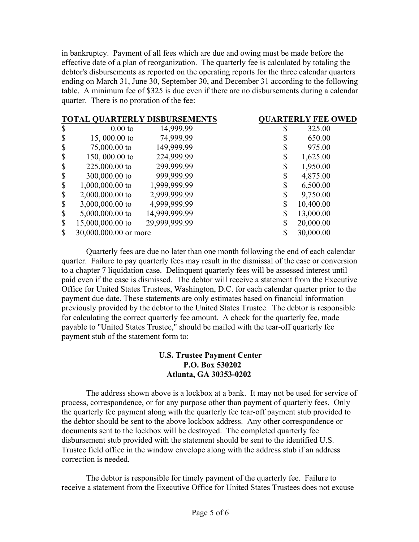in bankruptcy. Payment of all fees which are due and owing must be made before the effective date of a plan of reorganization. The quarterly fee is calculated by totaling the debtor's disbursements as reported on the operating reports for the three calendar quarters ending on March 31, June 30, September 30, and December 31 according to the following table. A minimum fee of \$325 is due even if there are no disbursements during a calendar quarter. There is no proration of the fee:

| <b>TOTAL QUARTERLY DISBURSEMENTS</b> |                       |               | <b>QUARTERLY FEE OWED</b> |           |
|--------------------------------------|-----------------------|---------------|---------------------------|-----------|
| \$                                   | $0.00$ to             | 14,999.99     | S                         | 325.00    |
| $\mathcal{S}$                        | $15,000.00$ to        | 74,999.99     | ۰D.                       | 650.00    |
| $\boldsymbol{\mathsf{S}}$            | 75,000.00 to          | 149,999.99    | \$                        | 975.00    |
| $\mathcal{S}$                        | 150,000.00 to         | 224,999.99    | \$                        | 1,625.00  |
| $\boldsymbol{\mathsf{S}}$            | 225,000.00 to         | 299,999.99    | \$                        | 1,950.00  |
| $\mathcal{S}$                        | 300,000.00 to         | 999,999.99    | \$                        | 4,875.00  |
| $\mathcal{S}$                        | $1,000,000.00$ to     | 1,999,999.99  | \$                        | 6,500.00  |
| $\mathcal{S}$                        | $2,000,000.00$ to     | 2,999,999.99  | \$                        | 9,750.00  |
| $\mathbb{S}$                         | 3,000,000.00 to       | 4,999,999.99  | \$                        | 10,400.00 |
| $\boldsymbol{\mathsf{S}}$            | $5,000,000.00$ to     | 14,999,999.99 | \$                        | 13,000.00 |
| $\boldsymbol{\mathsf{S}}$            | 15,000,000.00 to      | 29,999,999.99 | \$                        | 20,000.00 |
| $\mathbb{S}$                         | 30,000,000.00 or more |               | \$                        | 30,000.00 |

Quarterly fees are due no later than one month following the end of each calendar quarter. Failure to pay quarterly fees may result in the dismissal of the case or conversion to a chapter 7 liquidation case. Delinquent quarterly fees will be assessed interest until paid even if the case is dismissed. The debtor will receive a statement from the Executive Office for United States Trustees, Washington, D.C. for each calendar quarter prior to the payment due date. These statements are only estimates based on financial information previously provided by the debtor to the United States Trustee. The debtor is responsible for calculating the correct quarterly fee amount. A check for the quarterly fee, made payable to "United States Trustee," should be mailed with the tear-off quarterly fee payment stub of the statement form to:

## **U.S. Trustee Payment Center P.O. Box 530202 Atlanta, GA 30353-0202**

The address shown above is a lockbox at a bank. It may not be used for service of process, correspondence, or for any purpose other than payment of quarterly fees. Only the quarterly fee payment along with the quarterly fee tear-off payment stub provided to the debtor should be sent to the above lockbox address. Any other correspondence or documents sent to the lockbox will be destroyed. The completed quarterly fee disbursement stub provided with the statement should be sent to the identified U.S. Trustee field office in the window envelope along with the address stub if an address correction is needed.

The debtor is responsible for timely payment of the quarterly fee. Failure to receive a statement from the Executive Office for United States Trustees does not excuse